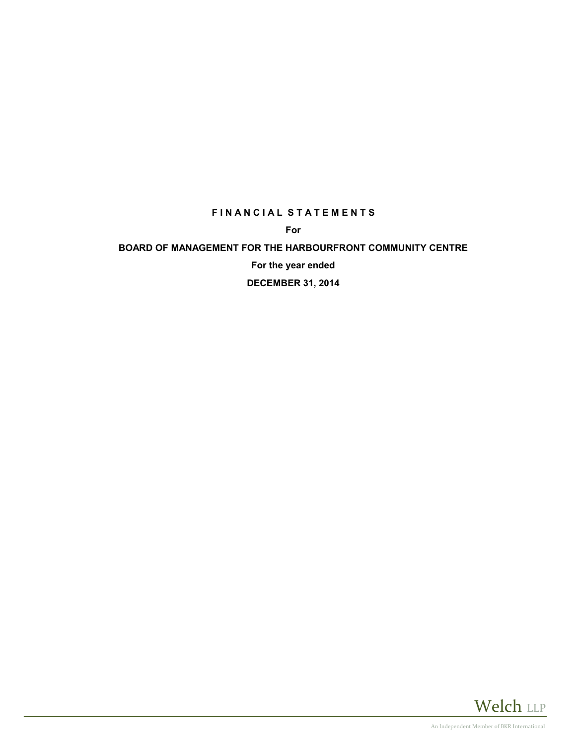## **F I N A N C I A L S T A T E M E N T S**

**For**

## **BOARD OF MANAGEMENT FOR THE HARBOURFRONT COMMUNITY CENTRE**

**For the year ended**

**DECEMBER 31, 2014**

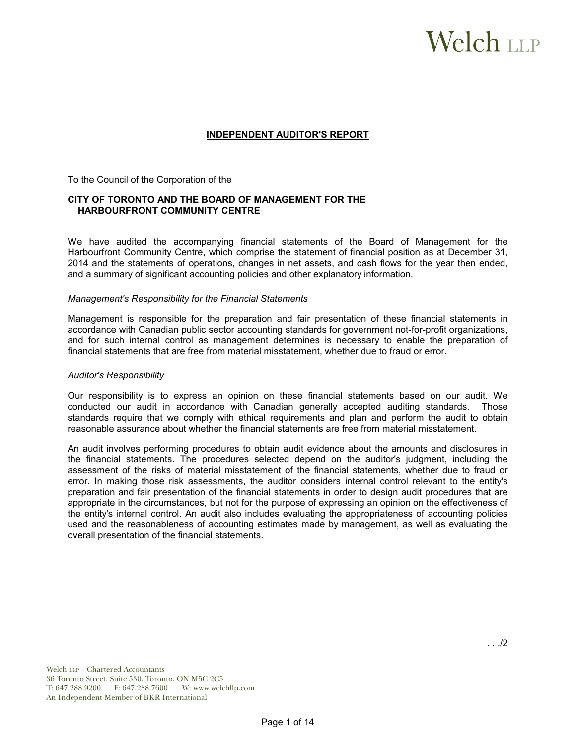# Welch **LLP**

#### **INDEPENDENT AUDITOR'S REPORT**

To the Council of the Corporation of the

#### **CITY OF TORONTO AND THE BOARD OF MANAGEMENT FOR THE HARBOURFRONT COMMUNITY CENTRE**

We have audited the accompanying financial statements of the Board of Management for the Harbourfront Community Centre, which comprise the statement of financial position as at December 31, 2014 and the statements of operations, changes in net assets, and cash flows for the year then ended, and a summary of significant accounting policies and other explanatory information.

#### *Management's Responsibility for the Financial Statements*

Management is responsible for the preparation and fair presentation of these financial statements in accordance with Canadian public sector accounting standards for government not-for-profit organizations, and for such internal control as management determines is necessary to enable the preparation of financial statements that are free from material misstatement, whether due to fraud or error.

#### *Auditor's Responsibility*

Our responsibility is to express an opinion on these financial statements based on our audit. We conducted our audit in accordance with Canadian generally accepted auditing standards. Those standards require that we comply with ethical requirements and plan and perform the audit to obtain reasonable assurance about whether the financial statements are free from material misstatement.

An audit involves performing procedures to obtain audit evidence about the amounts and disclosures in the financial statements. The procedures selected depend on the auditor's judgment, including the assessment of the risks of material misstatement of the financial statements, whether due to fraud or error. In making those risk assessments, the auditor considers internal control relevant to the entity's preparation and fair presentation of the financial statements in order to design audit procedures that are appropriate in the circumstances, but not for the purpose of expressing an opinion on the effectiveness of the entity's internal control. An audit also includes evaluating the appropriateness of accounting policies used and the reasonableness of accounting estimates made by management, as well as evaluating the overall presentation of the financial statements.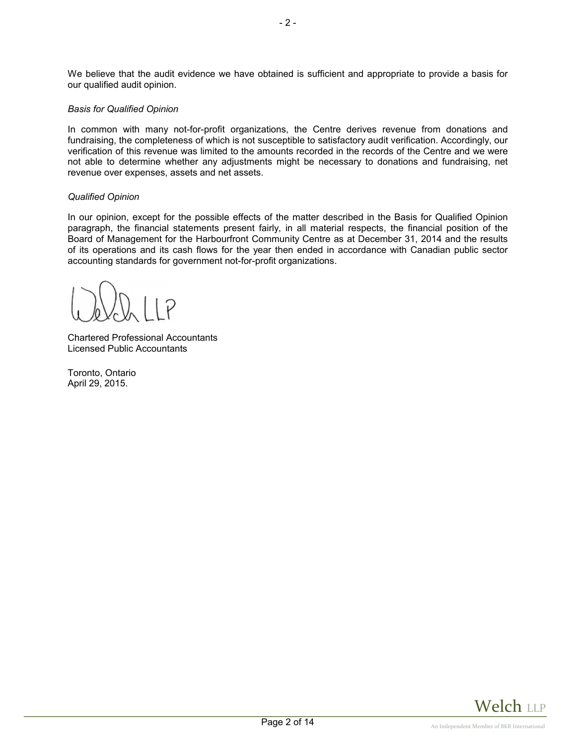We believe that the audit evidence we have obtained is sufficient and appropriate to provide a basis for our qualified audit opinion.

- 2 -

#### *Basis for Qualified Opinion*

In common with many not-for-profit organizations, the Centre derives revenue from donations and fundraising, the completeness of which is not susceptible to satisfactory audit verification. Accordingly, our verification of this revenue was limited to the amounts recorded in the records of the Centre and we were not able to determine whether any adjustments might be necessary to donations and fundraising, net revenue over expenses, assets and net assets.

#### *Qualified Opinion*

In our opinion, except for the possible effects of the matter described in the Basis for Qualified Opinion paragraph, the financial statements present fairly, in all material respects, the financial position of the Board of Management for the Harbourfront Community Centre as at December 31, 2014 and the results of its operations and its cash flows for the year then ended in accordance with Canadian public sector accounting standards for government not-for-profit organizations.

Chartered Professional Accountants Licensed Public Accountants

Toronto, Ontario April 29, 2015.

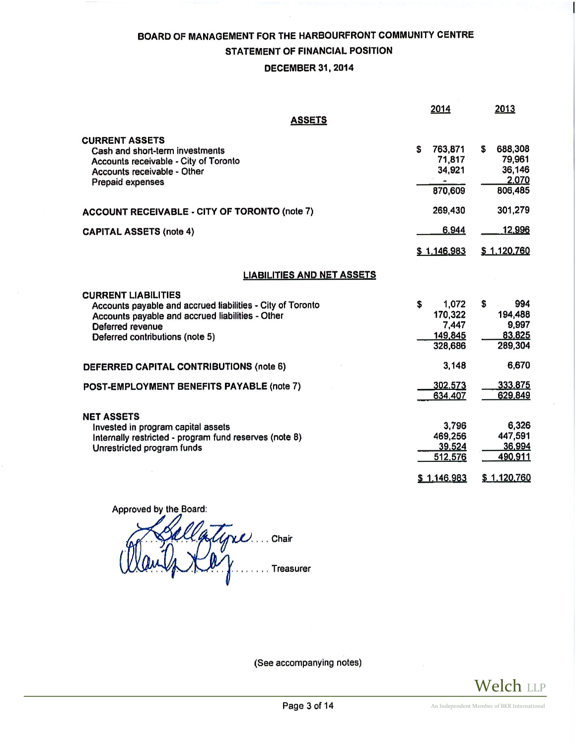# BOARD OF MANAGEMENT FOR THE HARBOURFRONT COMMUNITY CENTRE STATEMENT OF FINANCIAL POSITION

## **DECEMBER 31, 2014**

| <b>ASSETS</b>                                                                                                                                                                                       | 2014                                                 | 2013                                                 |
|-----------------------------------------------------------------------------------------------------------------------------------------------------------------------------------------------------|------------------------------------------------------|------------------------------------------------------|
| <b>CURRENT ASSETS</b><br>Cash and short-term investments<br>Accounts receivable - City of Toronto<br>Accounts receivable - Other<br><b>Prepaid expenses</b>                                         | S.<br>763,871<br>71,817<br>34,921<br>870,609         | 688,308<br>S<br>79,961<br>36,146<br>2,070<br>806,485 |
| ACCOUNT RECEIVABLE - CITY OF TORONTO (note 7)                                                                                                                                                       | 269,430                                              | 301,279                                              |
| <b>CAPITAL ASSETS (note 4)</b>                                                                                                                                                                      | 6,944                                                | 12,996                                               |
|                                                                                                                                                                                                     | \$1,146,983                                          | \$1,120,760                                          |
| <b>LIABILITIES AND NET ASSETS</b>                                                                                                                                                                   |                                                      |                                                      |
| <b>CURRENT LIABILITIES</b><br>Accounts payable and accrued liabilities - City of Toronto<br>Accounts payable and accrued liabilities - Other<br>Deferred revenue<br>Deferred contributions (note 5) | S<br>1,072<br>170,322<br>7,447<br>149,845<br>328,686 | \$<br>994<br>194,488<br>9,997<br>83,825<br>289,304   |
| DEFERRED CAPITAL CONTRIBUTIONS (note 6)                                                                                                                                                             | 3,148                                                | 6,670                                                |
| POST-EMPLOYMENT BENEFITS PAYABLE (note 7)                                                                                                                                                           | 302,573<br>634.407                                   | 333.875<br>629,849                                   |
| <b>NET ASSETS</b><br>Invested in program capital assets<br>Internally restricted - program fund reserves (note 8)<br>Unrestricted program funds                                                     | 3.796<br>469,256<br>39,524<br>512,576<br>\$1.146,983 | 6,326<br>447,591<br>36,994<br>490.911<br>\$1,120,760 |

Approved by the Board:

ellalyne chair Treasurer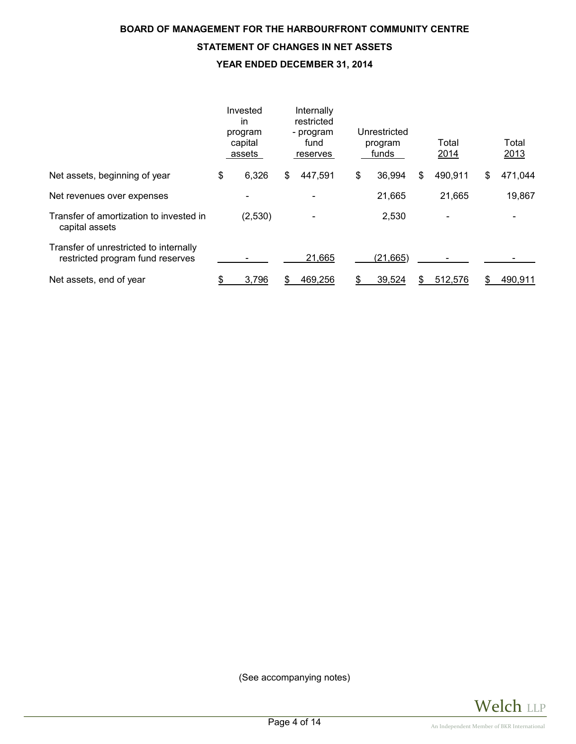**BOARD OF MANAGEMENT FOR THE HARBOURFRONT COMMUNITY CENTRE STATEMENT OF CHANGES IN NET ASSETS YEAR ENDED DECEMBER 31, 2014**

|                                                                            |    | Invested<br>in.<br>program<br>capital<br>assets |    | Internally<br>restricted<br>- program<br>fund<br>reserves | Unrestricted<br>program<br>funds |   | Total<br>2014 |   | Total<br>2013 |
|----------------------------------------------------------------------------|----|-------------------------------------------------|----|-----------------------------------------------------------|----------------------------------|---|---------------|---|---------------|
| Net assets, beginning of year                                              | \$ | 6,326                                           | \$ | 447,591                                                   | \$<br>36,994                     | S | 490,911       | S | 471,044       |
| Net revenues over expenses                                                 |    |                                                 |    |                                                           | 21,665                           |   | 21,665        |   | 19,867        |
| Transfer of amortization to invested in<br>capital assets                  |    | (2,530)                                         |    |                                                           | 2,530                            |   |               |   |               |
| Transfer of unrestricted to internally<br>restricted program fund reserves |    |                                                 |    | 21,665                                                    | (21, 665)                        |   |               |   |               |
| Net assets, end of year                                                    | S  | 3,796                                           | S  | 469,256                                                   | 39,524                           |   | 512,576       |   | 490,911       |

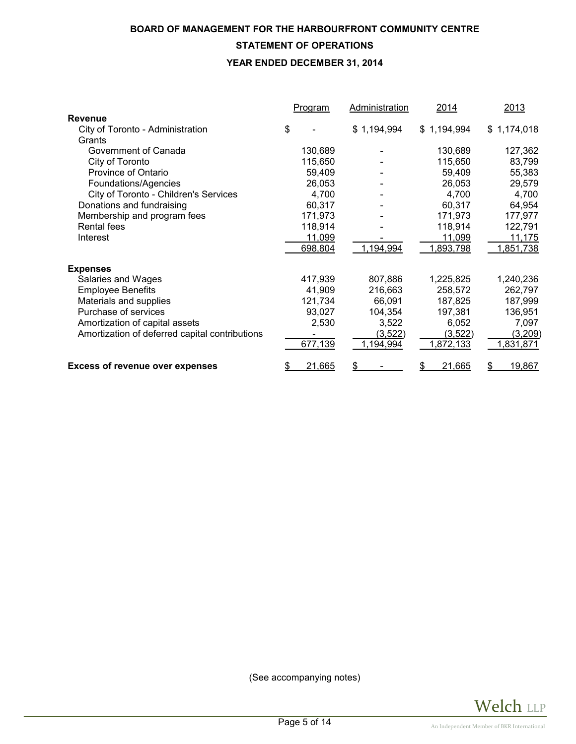# **BOARD OF MANAGEMENT FOR THE HARBOURFRONT COMMUNITY CENTRE**

## **STATEMENT OF OPERATIONS**

# **YEAR ENDED DECEMBER 31, 2014**

|                                                | <b>Program</b> | Administration | 2014           | 2013          |
|------------------------------------------------|----------------|----------------|----------------|---------------|
| Revenue                                        |                |                |                |               |
| City of Toronto - Administration               | \$             | \$1,194,994    | \$1,194,994    | \$1,174,018   |
| Grants                                         |                |                |                |               |
| Government of Canada                           | 130,689        |                | 130,689        | 127,362       |
| City of Toronto                                | 115,650        |                | 115,650        | 83,799        |
| Province of Ontario                            | 59,409         |                | 59,409         | 55,383        |
| Foundations/Agencies                           | 26,053         |                | 26,053         | 29,579        |
| City of Toronto - Children's Services          | 4,700          |                | 4,700          | 4,700         |
| Donations and fundraising                      | 60,317         |                | 60,317         | 64,954        |
| Membership and program fees                    | 171,973        |                | 171,973        | 177,977       |
| <b>Rental fees</b>                             | 118,914        |                | 118,914        | 122,791       |
| Interest                                       | <u>11,099</u>  |                | <u> 11,099</u> | <u>11,175</u> |
|                                                | 698,804        | 1,194,994      | ,893,798       | 1,851,738     |
| <b>Expenses</b>                                |                |                |                |               |
| Salaries and Wages                             | 417,939        | 807,886        | 1,225,825      | 1,240,236     |
| <b>Employee Benefits</b>                       | 41,909         | 216,663        | 258,572        | 262,797       |
| Materials and supplies                         | 121,734        | 66,091         | 187,825        | 187,999       |
| Purchase of services                           | 93,027         | 104,354        | 197,381        | 136,951       |
| Amortization of capital assets                 | 2,530          | 3,522          | 6,052          | 7,097         |
| Amortization of deferred capital contributions |                | (3, 522)       | (3, 522)       | (3,209)       |
|                                                | 677,139        | 1,194,994      | 1,872,133      | 1,831,871     |
| <b>Excess of revenue over expenses</b>         | 21,665<br>\$   | \$             | 21,665<br>\$   | 19,867<br>\$  |

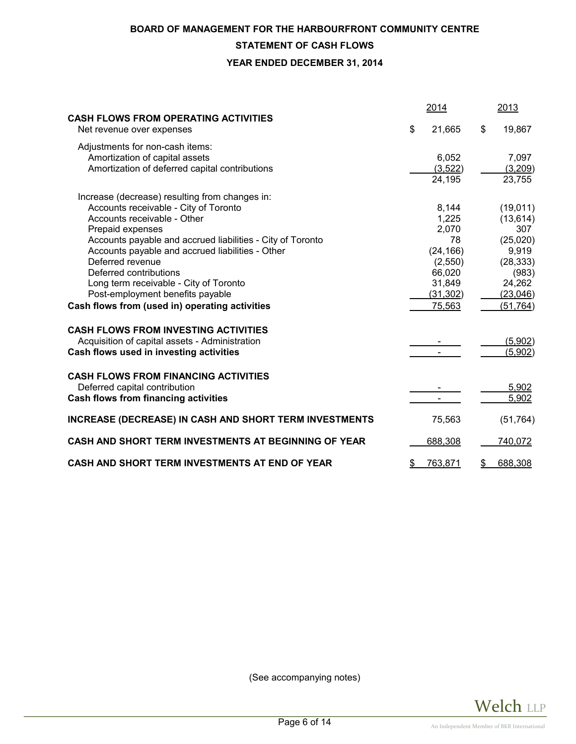## **BOARD OF MANAGEMENT FOR THE HARBOURFRONT COMMUNITY CENTRE**

## **STATEMENT OF CASH FLOWS**

**YEAR ENDED DECEMBER 31, 2014**

|                                                                          | 2014          | 2013          |
|--------------------------------------------------------------------------|---------------|---------------|
| <b>CASH FLOWS FROM OPERATING ACTIVITIES</b><br>Net revenue over expenses | \$<br>21,665  | \$<br>19,867  |
| Adjustments for non-cash items:                                          |               |               |
| Amortization of capital assets                                           | 6,052         | 7,097         |
| Amortization of deferred capital contributions                           | (3, 522)      | (3,209)       |
|                                                                          | 24,195        | 23,755        |
| Increase (decrease) resulting from changes in:                           |               |               |
| Accounts receivable - City of Toronto                                    | 8,144         | (19, 011)     |
| Accounts receivable - Other                                              | 1,225         | (13, 614)     |
| Prepaid expenses                                                         | 2,070         | 307           |
| Accounts payable and accrued liabilities - City of Toronto               | 78            | (25, 020)     |
| Accounts payable and accrued liabilities - Other                         | (24, 166)     | 9,919         |
| Deferred revenue                                                         | (2,550)       | (28, 333)     |
| Deferred contributions                                                   | 66,020        | (983)         |
| Long term receivable - City of Toronto                                   | 31,849        | 24,262        |
| Post-employment benefits payable                                         | (31, 302)     | (23,046)      |
| Cash flows from (used in) operating activities                           | 75,563        | (51, 764)     |
| <b>CASH FLOWS FROM INVESTING ACTIVITIES</b>                              |               |               |
| Acquisition of capital assets - Administration                           |               | (5,902)       |
| Cash flows used in investing activities                                  |               | (5,902)       |
|                                                                          |               |               |
| <b>CASH FLOWS FROM FINANCING ACTIVITIES</b>                              |               |               |
| Deferred capital contribution                                            |               | 5,902         |
| Cash flows from financing activities                                     |               | 5,902         |
| <b>INCREASE (DECREASE) IN CASH AND SHORT TERM INVESTMENTS</b>            | 75,563        | (51, 764)     |
| CASH AND SHORT TERM INVESTMENTS AT BEGINNING OF YEAR                     | 688,308       | 740,072       |
| CASH AND SHORT TERM INVESTMENTS AT END OF YEAR                           | \$<br>763,871 | \$<br>688,308 |

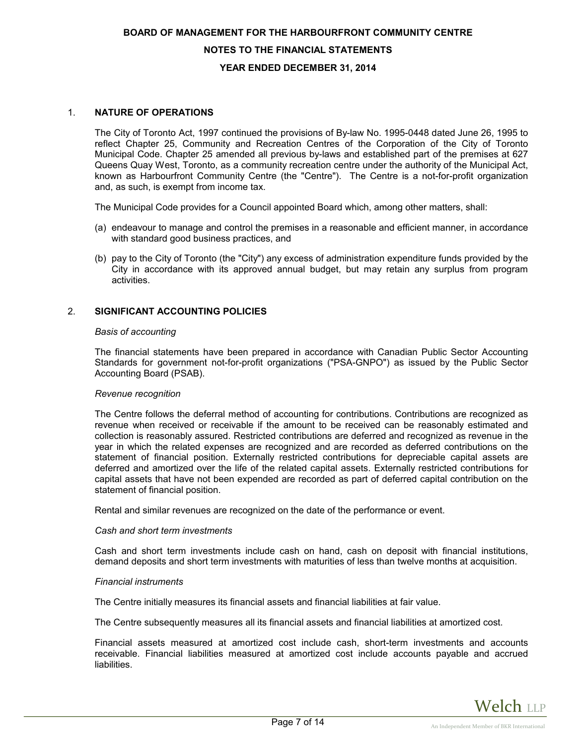#### **YEAR ENDED DECEMBER 31, 2014**

#### 1. **NATURE OF OPERATIONS**

The City of Toronto Act, 1997 continued the provisions of By-law No. 1995-0448 dated June 26, 1995 to reflect Chapter 25, Community and Recreation Centres of the Corporation of the City of Toronto Municipal Code. Chapter 25 amended all previous by-laws and established part of the premises at 627 Queens Quay West, Toronto, as a community recreation centre under the authority of the Municipal Act, known as Harbourfront Community Centre (the "Centre"). The Centre is a not-for-profit organization and, as such, is exempt from income tax.

The Municipal Code provides for a Council appointed Board which, among other matters, shall:

- (a) endeavour to manage and control the premises in a reasonable and efficient manner, in accordance with standard good business practices, and
- (b) pay to the City of Toronto (the "City") any excess of administration expenditure funds provided by the City in accordance with its approved annual budget, but may retain any surplus from program activities.

#### 2. **SIGNIFICANT ACCOUNTING POLICIES**

#### *Basis of accounting*

The financial statements have been prepared in accordance with Canadian Public Sector Accounting Standards for government not-for-profit organizations ("PSA-GNPO") as issued by the Public Sector Accounting Board (PSAB).

#### *Revenue recognition*

The Centre follows the deferral method of accounting for contributions. Contributions are recognized as revenue when received or receivable if the amount to be received can be reasonably estimated and collection is reasonably assured. Restricted contributions are deferred and recognized as revenue in the year in which the related expenses are recognized and are recorded as deferred contributions on the statement of financial position. Externally restricted contributions for depreciable capital assets are deferred and amortized over the life of the related capital assets. Externally restricted contributions for capital assets that have not been expended are recorded as part of deferred capital contribution on the statement of financial position.

Rental and similar revenues are recognized on the date of the performance or event.

#### *Cash and short term investments*

Cash and short term investments include cash on hand, cash on deposit with financial institutions, demand deposits and short term investments with maturities of less than twelve months at acquisition.

#### *Financial instruments*

The Centre initially measures its financial assets and financial liabilities at fair value.

The Centre subsequently measures all its financial assets and financial liabilities at amortized cost.

Financial assets measured at amortized cost include cash, short-term investments and accounts receivable. Financial liabilities measured at amortized cost include accounts payable and accrued liabilities.

An Independent Member of BKR International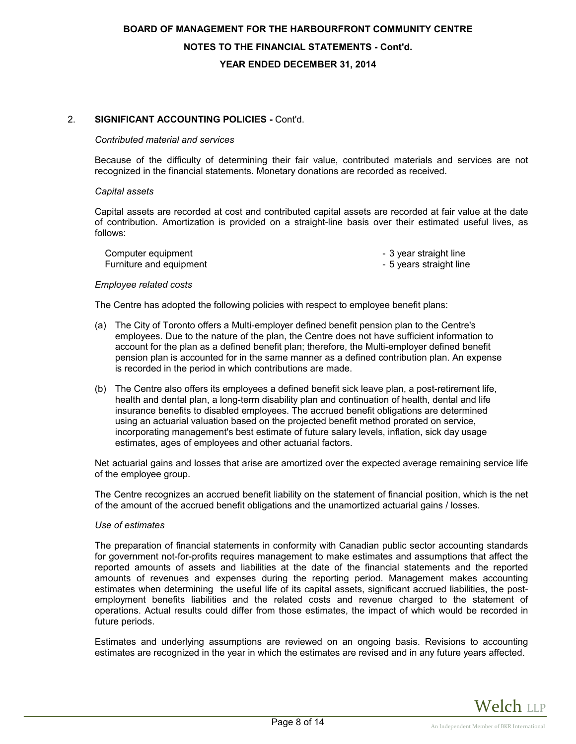# **BOARD OF MANAGEMENT FOR THE HARBOURFRONT COMMUNITY CENTRE NOTES TO THE FINANCIAL STATEMENTS - Cont'd. YEAR ENDED DECEMBER 31, 2014**

### 2. **SIGNIFICANT ACCOUNTING POLICIES -** Cont'd.

#### *Contributed material and services*

Because of the difficulty of determining their fair value, contributed materials and services are not recognized in the financial statements. Monetary donations are recorded as received.

#### *Capital assets*

Capital assets are recorded at cost and contributed capital assets are recorded at fair value at the date of contribution. Amortization is provided on a straight-line basis over their estimated useful lives, as follows:

Computer equipment<br>
Furniture and equipment<br>
Furniture and equipment<br>  $\frac{1}{2}$  - 5 years straight line Furniture and equipment

#### *Employee related costs*

The Centre has adopted the following policies with respect to employee benefit plans:

- (a) The City of Toronto offers a Multi-employer defined benefit pension plan to the Centre's employees. Due to the nature of the plan, the Centre does not have sufficient information to account for the plan as a defined benefit plan; therefore, the Multi-employer defined benefit pension plan is accounted for in the same manner as a defined contribution plan. An expense is recorded in the period in which contributions are made.
- (b) The Centre also offers its employees a defined benefit sick leave plan, a post-retirement life, health and dental plan, a long-term disability plan and continuation of health, dental and life insurance benefits to disabled employees. The accrued benefit obligations are determined using an actuarial valuation based on the projected benefit method prorated on service, incorporating management's best estimate of future salary levels, inflation, sick day usage estimates, ages of employees and other actuarial factors.

Net actuarial gains and losses that arise are amortized over the expected average remaining service life of the employee group.

The Centre recognizes an accrued benefit liability on the statement of financial position, which is the net of the amount of the accrued benefit obligations and the unamortized actuarial gains / losses.

#### *Use of estimates*

The preparation of financial statements in conformity with Canadian public sector accounting standards for government not-for-profits requires management to make estimates and assumptions that affect the reported amounts of assets and liabilities at the date of the financial statements and the reported amounts of revenues and expenses during the reporting period. Management makes accounting estimates when determining the useful life of its capital assets, significant accrued liabilities, the postemployment benefits liabilities and the related costs and revenue charged to the statement of operations. Actual results could differ from those estimates, the impact of which would be recorded in future periods.

Estimates and underlying assumptions are reviewed on an ongoing basis. Revisions to accounting estimates are recognized in the year in which the estimates are revised and in any future years affected.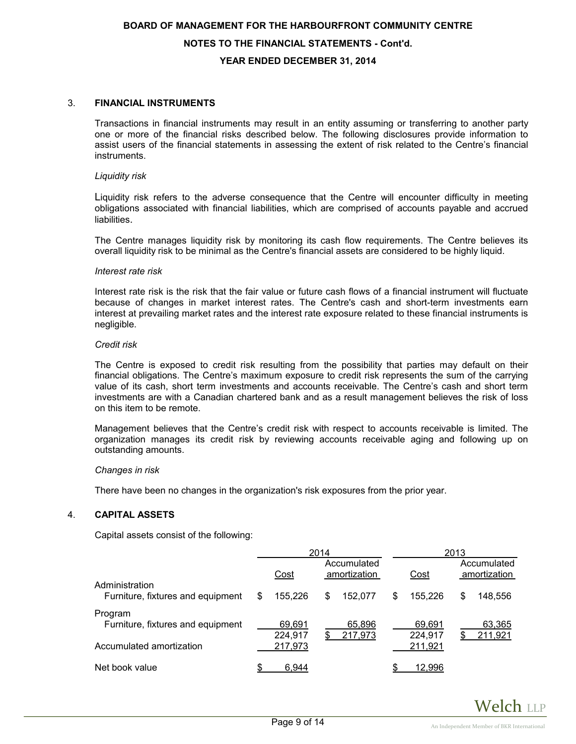# **BOARD OF MANAGEMENT FOR THE HARBOURFRONT COMMUNITY CENTRE NOTES TO THE FINANCIAL STATEMENTS - Cont'd. YEAR ENDED DECEMBER 31, 2014**

#### 3. **FINANCIAL INSTRUMENTS**

Transactions in financial instruments may result in an entity assuming or transferring to another party one or more of the financial risks described below. The following disclosures provide information to assist users of the financial statements in assessing the extent of risk related to the Centre's financial instruments.

#### *Liquidity risk*

Liquidity risk refers to the adverse consequence that the Centre will encounter difficulty in meeting obligations associated with financial liabilities, which are comprised of accounts payable and accrued liabilities.

The Centre manages liquidity risk by monitoring its cash flow requirements. The Centre believes its overall liquidity risk to be minimal as the Centre's financial assets are considered to be highly liquid.

#### *Interest rate risk*

Interest rate risk is the risk that the fair value or future cash flows of a financial instrument will fluctuate because of changes in market interest rates. The Centre's cash and short-term investments earn interest at prevailing market rates and the interest rate exposure related to these financial instruments is negligible.

#### *Credit risk*

The Centre is exposed to credit risk resulting from the possibility that parties may default on their financial obligations. The Centre's maximum exposure to credit risk represents the sum of the carrying value of its cash, short term investments and accounts receivable. The Centre's cash and short term investments are with a Canadian chartered bank and as a result management believes the risk of loss on this item to be remote.

Management believes that the Centre's credit risk with respect to accounts receivable is limited. The organization manages its credit risk by reviewing accounts receivable aging and following up on outstanding amounts.

#### *Changes in risk*

There have been no changes in the organization's risk exposures from the prior year.

#### 4. **CAPITAL ASSETS**

Capital assets consist of the following:

|                                                                          |      | 2014                         |    |                   |   | 2013                         |                   |  |  |  |                                     |  |  |                             |
|--------------------------------------------------------------------------|------|------------------------------|----|-------------------|---|------------------------------|-------------------|--|--|--|-------------------------------------|--|--|-----------------------------|
| Administration                                                           | Cost |                              |    |                   |   |                              |                   |  |  |  | Accumulated<br>amortization<br>Cost |  |  | Accumulated<br>amortization |
| Furniture, fixtures and equipment                                        | S    | 155.226                      | \$ | 152.077           | S | 155.226                      | \$<br>148.556     |  |  |  |                                     |  |  |                             |
| Program<br>Furniture, fixtures and equipment<br>Accumulated amortization |      | 69,691<br>224,917<br>217,973 |    | 65,896<br>217,973 |   | 69,691<br>224,917<br>211,921 | 63,365<br>211,921 |  |  |  |                                     |  |  |                             |
| Net book value                                                           |      | 6.944                        |    |                   |   | 12.996                       |                   |  |  |  |                                     |  |  |                             |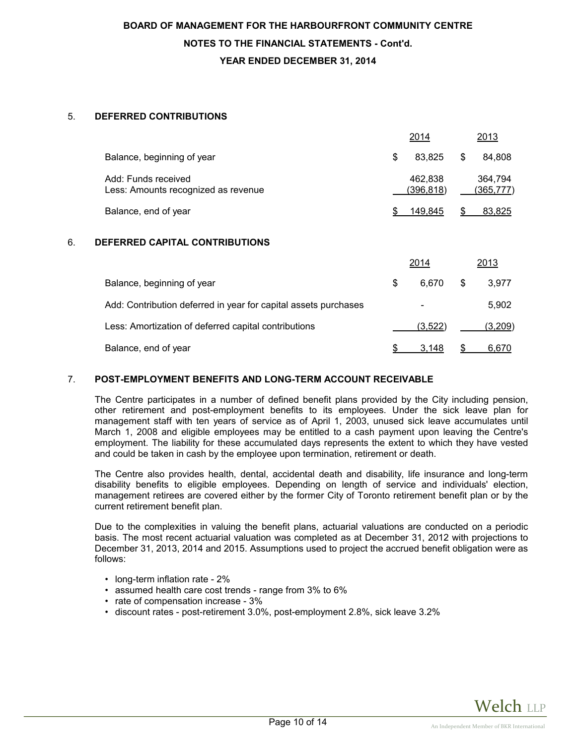# **BOARD OF MANAGEMENT FOR THE HARBOURFRONT COMMUNITY CENTRE NOTES TO THE FINANCIAL STATEMENTS - Cont'd. YEAR ENDED DECEMBER 31, 2014**

#### 5. **DEFERRED CONTRIBUTIONS**

|                                                            | 2014                  |   | 2013                        |
|------------------------------------------------------------|-----------------------|---|-----------------------------|
| Balance, beginning of year                                 | 83.825                | S | 84.808                      |
| Add: Funds received<br>Less: Amounts recognized as revenue | 462.838<br>(396, 818) |   | 364.794<br><u>(365,777)</u> |
| Balance, end of year                                       | 149.845               |   | 83,825                      |

#### 6. **DEFERRED CAPITAL CONTRIBUTIONS**

|                                                                 |   | 2014    | 2013        |
|-----------------------------------------------------------------|---|---------|-------------|
| Balance, beginning of year                                      | S | 6.670   | \$<br>3.977 |
| Add: Contribution deferred in year for capital assets purchases |   |         | 5.902       |
| Less: Amortization of deferred capital contributions            |   | (3.522) | (3,209)     |
| Balance, end of year                                            |   | 3,148   | 6,670       |

## 7. **POST-EMPLOYMENT BENEFITS AND LONG-TERM ACCOUNT RECEIVABLE**

The Centre participates in a number of defined benefit plans provided by the City including pension, other retirement and post-employment benefits to its employees. Under the sick leave plan for management staff with ten years of service as of April 1, 2003, unused sick leave accumulates until March 1, 2008 and eligible employees may be entitled to a cash payment upon leaving the Centre's employment. The liability for these accumulated days represents the extent to which they have vested and could be taken in cash by the employee upon termination, retirement or death.

The Centre also provides health, dental, accidental death and disability, life insurance and long-term disability benefits to eligible employees. Depending on length of service and individuals' election, management retirees are covered either by the former City of Toronto retirement benefit plan or by the current retirement benefit plan.

Due to the complexities in valuing the benefit plans, actuarial valuations are conducted on a periodic basis. The most recent actuarial valuation was completed as at December 31, 2012 with projections to December 31, 2013, 2014 and 2015. Assumptions used to project the accrued benefit obligation were as follows:

- long-term inflation rate 2%
- assumed health care cost trends range from 3% to 6%
- rate of compensation increase 3%
- discount rates post-retirement 3.0%, post-employment 2.8%, sick leave 3.2%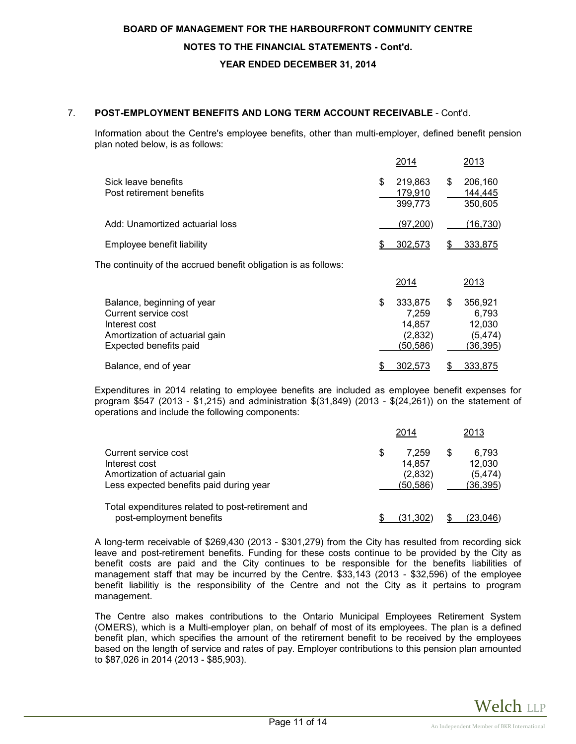#### 7. **POST-EMPLOYMENT BENEFITS AND LONG TERM ACCOUNT RECEIVABLE** - Cont'd.

Information about the Centre's employee benefits, other than multi-employer, defined benefit pension plan noted below, is as follows:

|                                                 |     | 2014                          |     | 2013                          |
|-------------------------------------------------|-----|-------------------------------|-----|-------------------------------|
| Sick leave benefits<br>Post retirement benefits | S   | 219,863<br>179,910<br>399.773 | S   | 206,160<br>144.445<br>350,605 |
| Add: Unamortized actuarial loss                 |     | (97, 200)                     |     | (16,730)                      |
| Employee benefit liability                      | \$. | 302.573                       | \$. | 333,875                       |
|                                                 |     |                               |     |                               |

The continuity of the accrued benefit obligation is as follows:

|                                                                                                                                 |   | 2014                                              |   | 2013                                                      |
|---------------------------------------------------------------------------------------------------------------------------------|---|---------------------------------------------------|---|-----------------------------------------------------------|
| Balance, beginning of year<br>Current service cost<br>Interest cost<br>Amortization of actuarial gain<br>Expected benefits paid | S | 333.875<br>7.259<br>14.857<br>(2,832)<br>(50,586) | S | 356.921<br>6.793<br>12.030<br>(5, 474)<br><u>(36,395)</u> |
| Balance, end of year                                                                                                            |   | 302.573                                           |   | 333.875                                                   |

Expenditures in 2014 relating to employee benefits are included as employee benefit expenses for program \$547 (2013 - \$1,215) and administration \$(31,849) (2013 - \$(24,261)) on the statement of operations and include the following components:

|                                                   |   | 2014      |   | 2013            |
|---------------------------------------------------|---|-----------|---|-----------------|
| Current service cost                              | S | 7.259     | S | 6.793           |
| Interest cost                                     |   | 14.857    |   | 12.030          |
| Amortization of actuarial gain                    |   | (2,832)   |   | (5, 474)        |
| Less expected benefits paid during year           |   | (50,586)  |   | <u>(36,395)</u> |
| Total expenditures related to post-retirement and |   |           |   |                 |
| post-employment benefits                          |   | (31, 302) |   | (23,046)        |

A long-term receivable of \$269,430 (2013 - \$301,279) from the City has resulted from recording sick leave and post-retirement benefits. Funding for these costs continue to be provided by the City as benefit costs are paid and the City continues to be responsible for the benefits liabilities of management staff that may be incurred by the Centre. \$33,143 (2013 - \$32,596) of the employee benefit liabilitiy is the responsibility of the Centre and not the City as it pertains to program management.

The Centre also makes contributions to the Ontario Municipal Employees Retirement System (OMERS), which is a Multi-employer plan, on behalf of most of its employees. The plan is a defined benefit plan, which specifies the amount of the retirement benefit to be received by the employees based on the length of service and rates of pay. Employer contributions to this pension plan amounted to \$87,026 in 2014 (2013 - \$85,903).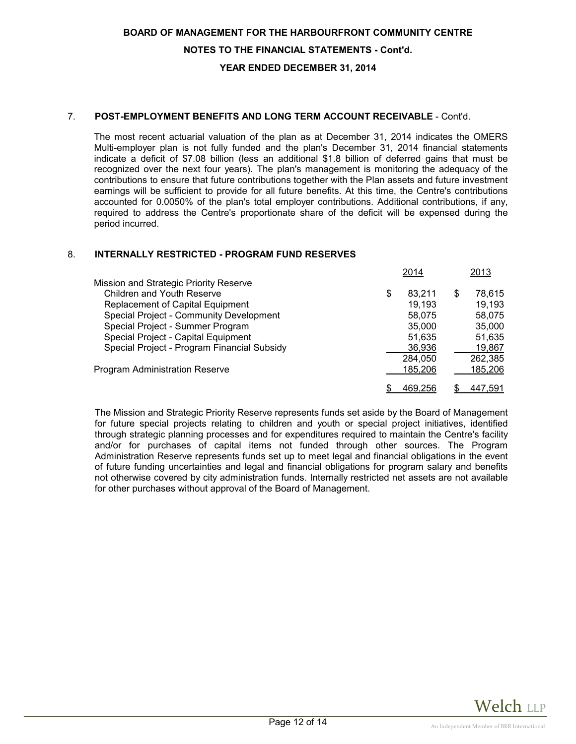#### 7. **POST-EMPLOYMENT BENEFITS AND LONG TERM ACCOUNT RECEIVABLE** - Cont'd.

The most recent actuarial valuation of the plan as at December 31, 2014 indicates the OMERS Multi-employer plan is not fully funded and the plan's December 31, 2014 financial statements indicate a deficit of \$7.08 billion (less an additional \$1.8 billion of deferred gains that must be recognized over the next four years). The plan's management is monitoring the adequacy of the contributions to ensure that future contributions together with the Plan assets and future investment earnings will be sufficient to provide for all future benefits. At this time, the Centre's contributions accounted for 0.0050% of the plan's total employer contributions. Additional contributions, if any, required to address the Centre's proportionate share of the deficit will be expensed during the period incurred.

#### 8. **INTERNALLY RESTRICTED - PROGRAM FUND RESERVES**

|                                             | 2014         |   | 2013    |
|---------------------------------------------|--------------|---|---------|
| Mission and Strategic Priority Reserve      |              |   |         |
| Children and Youth Reserve                  | \$<br>83.211 | S | 78,615  |
| <b>Replacement of Capital Equipment</b>     | 19.193       |   | 19,193  |
| Special Project - Community Development     | 58.075       |   | 58.075  |
| Special Project - Summer Program            | 35,000       |   | 35,000  |
| Special Project - Capital Equipment         | 51,635       |   | 51,635  |
| Special Project - Program Financial Subsidy | 36.936       |   | 19,867  |
|                                             | 284.050      |   | 262,385 |
| Program Administration Reserve              | 185.206      |   | 185,206 |
|                                             | 469.256      |   | 447.591 |

The Mission and Strategic Priority Reserve represents funds set aside by the Board of Management for future special projects relating to children and youth or special project initiatives, identified through strategic planning processes and for expenditures required to maintain the Centre's facility and/or for purchases of capital items not funded through other sources. The Program Administration Reserve represents funds set up to meet legal and financial obligations in the event of future funding uncertainties and legal and financial obligations for program salary and benefits not otherwise covered by city administration funds. Internally restricted net assets are not available for other purchases without approval of the Board of Management.

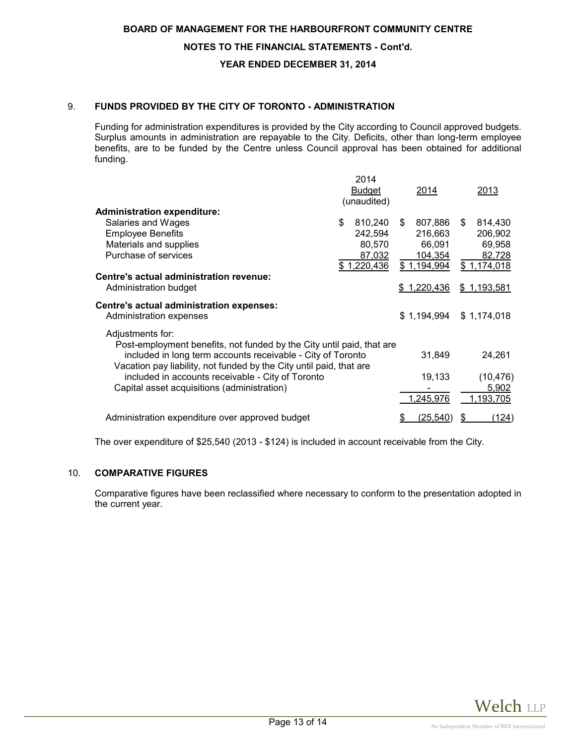#### **NOTES TO THE FINANCIAL STATEMENTS - Cont'd.**

#### **YEAR ENDED DECEMBER 31, 2014**

#### 9. **FUNDS PROVIDED BY THE CITY OF TORONTO - ADMINISTRATION**

Funding for administration expenditures is provided by the City according to Council approved budgets. Surplus amounts in administration are repayable to the City. Deficits, other than long-term employee benefits, are to be funded by the Centre unless Council approval has been obtained for additional funding.

|                                                                                                                                                                                                                                                                                                                                     | 2014<br><b>Budget</b><br>(unaudited)                        | 2014                                                         | 2013                                                        |
|-------------------------------------------------------------------------------------------------------------------------------------------------------------------------------------------------------------------------------------------------------------------------------------------------------------------------------------|-------------------------------------------------------------|--------------------------------------------------------------|-------------------------------------------------------------|
| <b>Administration expenditure:</b><br>Salaries and Wages<br><b>Employee Benefits</b><br>Materials and supplies<br>Purchase of services                                                                                                                                                                                              | \$<br>810,240<br>242,594<br>80,570<br>87,032<br>\$1,220,436 | \$<br>807,886<br>216,663<br>66,091<br>104,354<br>\$1,194,994 | \$<br>814,430<br>206,902<br>69,958<br>82,728<br>\$1,174,018 |
| Centre's actual administration revenue:<br>Administration budget                                                                                                                                                                                                                                                                    |                                                             | \$1,220,436                                                  | <u>\$1,193,581</u>                                          |
| Centre's actual administration expenses:<br>Administration expenses                                                                                                                                                                                                                                                                 |                                                             | $$1,194,994$ $$1,174,018$                                    |                                                             |
| Adjustments for:<br>Post-employment benefits, not funded by the City until paid, that are<br>included in long term accounts receivable - City of Toronto<br>Vacation pay liability, not funded by the City until paid, that are<br>included in accounts receivable - City of Toronto<br>Capital asset acquisitions (administration) |                                                             | 31,849<br>19,133<br>1,245,976                                | 24,261<br>(10, 476)<br>5,902<br>1,193,705                   |
| Administration expenditure over approved budget                                                                                                                                                                                                                                                                                     |                                                             | (25,540)                                                     | \$<br>(124)                                                 |

The over expenditure of \$25,540 (2013 - \$124) is included in account receivable from the City.

#### 10. **COMPARATIVE FIGURES**

Comparative figures have been reclassified where necessary to conform to the presentation adopted in the current year.

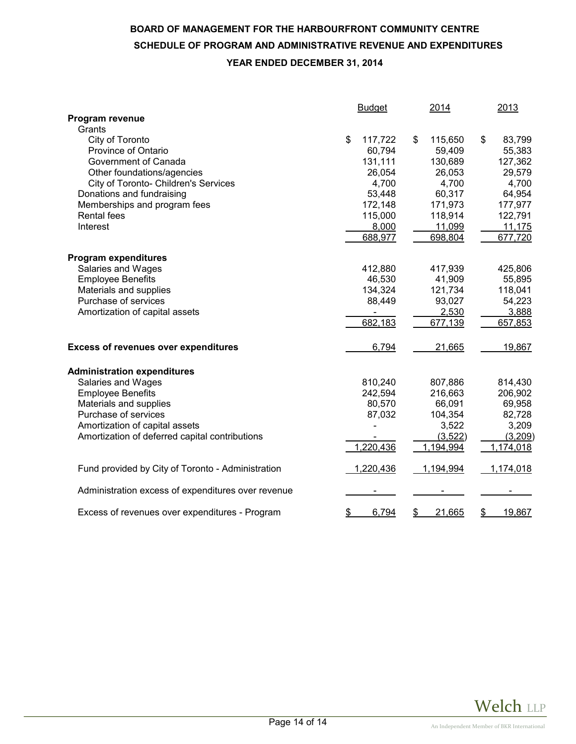# **BOARD OF MANAGEMENT FOR THE HARBOURFRONT COMMUNITY CENTRE SCHEDULE OF PROGRAM AND ADMINISTRATIVE REVENUE AND EXPENDITURES**

**YEAR ENDED DECEMBER 31, 2014**

|                                                    | <b>Budget</b> | 2014                    | 2013                    |
|----------------------------------------------------|---------------|-------------------------|-------------------------|
| Program revenue                                    |               |                         |                         |
| Grants                                             |               |                         |                         |
| City of Toronto                                    | \$<br>117,722 | \$<br>115,650           | 83,799<br>\$            |
| Province of Ontario                                | 60,794        | 59,409                  | 55,383                  |
| Government of Canada                               | 131,111       | 130,689                 | 127,362                 |
| Other foundations/agencies                         | 26,054        | 26,053                  | 29,579                  |
| City of Toronto- Children's Services               | 4,700         | 4,700                   | 4,700                   |
| Donations and fundraising                          | 53,448        | 60,317                  | 64,954                  |
| Memberships and program fees                       | 172,148       | 171,973                 | 177,977                 |
| <b>Rental fees</b>                                 | 115,000       | 118,914                 | 122,791                 |
| Interest                                           | 8,000         | 11,099                  | 11,175                  |
|                                                    | 688,977       | 698,804                 | 677,720                 |
| <b>Program expenditures</b>                        |               |                         |                         |
| Salaries and Wages                                 | 412,880       | 417,939                 | 425,806                 |
| <b>Employee Benefits</b>                           | 46,530        | 41,909                  | 55,895                  |
| Materials and supplies                             | 134,324       | 121,734                 | 118,041                 |
| Purchase of services                               | 88,449        | 93,027                  | 54,223                  |
| Amortization of capital assets                     |               | 2,530                   | 3,888                   |
|                                                    | 682,183       | 677,139                 | 657,853                 |
| <b>Excess of revenues over expenditures</b>        | 6,794         | 21,665                  | 19,867                  |
|                                                    |               |                         |                         |
| <b>Administration expenditures</b>                 |               |                         |                         |
| Salaries and Wages                                 | 810,240       | 807,886                 | 814,430                 |
| <b>Employee Benefits</b>                           | 242,594       | 216,663                 | 206,902                 |
| Materials and supplies                             | 80,570        | 66,091                  | 69,958                  |
| Purchase of services                               | 87,032        | 104,354                 | 82,728                  |
| Amortization of capital assets                     |               | 3,522                   | 3,209                   |
| Amortization of deferred capital contributions     |               | (3, 522)                | (3,209)                 |
|                                                    | 1,220,436     | 1,194,994               | 1,174,018               |
| Fund provided by City of Toronto - Administration  | 1,220,436     | 1,194,994               | 1,174,018               |
| Administration excess of expenditures over revenue |               |                         |                         |
| Excess of revenues over expenditures - Program     | 6,794<br>\$   | $\frac{2}{2}$<br>21,665 | 19,867<br>$\frac{2}{2}$ |